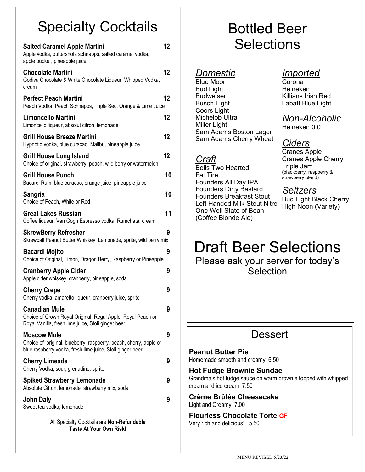# Specialty Cocktails

| <b>Salted Caramel Apple Martini</b><br>Apple vodka, buttershots schnapps, salted caramel vodka,<br>apple pucker, pineapple juice                     | 12 |
|------------------------------------------------------------------------------------------------------------------------------------------------------|----|
| <b>Chocolate Martini</b><br>Godiva Chocolate & White Chocolate Liqueur, Whipped Vodka,<br>cream                                                      | 12 |
| <b>Perfect Peach Martini</b><br>Peach Vodka, Peach Schnapps, Triple Sec, Orange & Lime Juice                                                         | 12 |
| Limoncello Martini<br>Limoncello liqueur, absolut citron, lemonade                                                                                   | 12 |
| <b>Grill House Breeze Martini</b><br>Hypnotiq vodka, blue curacao, Malibu, pineapple juice                                                           | 12 |
| Grill House Long Island<br>Choice of original, strawberry, peach, wild berry or watermelon                                                           | 12 |
| <b>Grill House Punch</b><br>Bacardi Rum, blue curacao, orange juice, pineapple juice                                                                 | 10 |
| Sangria<br>Choice of Peach, White or Red                                                                                                             | 10 |
| <b>Great Lakes Russian</b><br>Coffee liqueur, Van Gogh Espresso vodka, Rumchata, cream                                                               | 11 |
| <b>SkrewBerry Refresher</b><br>Skrewball Peanut Butter Whiskey, Lemonade, sprite, wild berry mix                                                     | g  |
| <b>Bacardi Mojito</b><br>Choice of Original, Limon, Dragon Berry, Raspberry or Pineapple                                                             | 9  |
| <b>Cranberry Apple Cider</b><br>Apple cider whiskey, cranberry, pineapple, soda                                                                      | 9  |
| <b>Cherry Crepe</b><br>Cherry vodka, amaretto liqueur, cranberry juice, sprite                                                                       | 9  |
| <b>Canadian Mule</b><br>Choice of Crown Royal Original, Regal Apple, Royal Peach or<br>Royal Vanilla, fresh lime juice, Stoli ginger beer            | 9  |
| <b>Moscow Mule</b><br>Choice of original, blueberry, raspberry, peach, cherry, apple or<br>blue raspberry vodka, fresh lime juice, Stoli ginger beer | 9  |
| <b>Cherry Limeade</b><br>Cherry Vodka, sour, grenadine, sprite                                                                                       | 9  |
| <b>Spiked Strawberry Lemonade</b><br>Absolute Citron, lemonade, strawberry mix, soda                                                                 | 9  |
| John Daly<br>Sweet tea vodka, lemonade.                                                                                                              | 9  |
| All Specialty Cocktails are Non-Refundable<br><b>Taste At Your Own Risk!</b>                                                                         |    |

# Bottled Beer **Selections**

#### *Domestic*

Blue Moon Bud Light Budweiser Busch Light Coors Light Michelob Ultra Miller Light Sam Adams Boston Lager Sam Adams Cherry Wheat

*Craft* Bells Two Hearted Fat Tire Founders All Day IPA Founders Dirty Bastard Founders Breakfast Stout Left Handed Milk Stout Nitro One Well State of Bean (Coffee Blonde Ale)

### *Imported*

Corona Heineken Killians Irish Red Labatt Blue Light

*Non-Alcoholic*

Heineken 0.0

## *Ciders*

Cranes Apple Cranes Apple Cherry Triple Jam (blackberry, raspberry & strawberry blend)

#### *Seltzers*

Bud Light Black Cherry High Noon (Variety)

# Draft Beer Selections

Please ask your server for today's **Selection** 

## **Dessert**

**Peanut Butter Pie** Homemade smooth and creamy 6.50

**Hot Fudge Brownie Sundae** Grandma's hot fudge sauce on warm brownie topped with whipped cream and ice cream 7.50

**Crème Brûlée Cheesecake** Light and Creamy 7.00

**Flourless Chocolate Torte GF** Very rich and delicious! 5.50